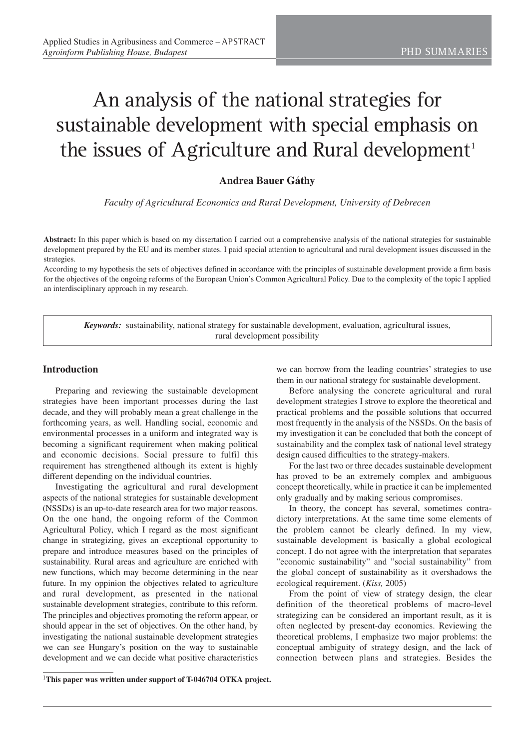# An analysis of the national strategies for sustainable development with special emphasis on the issues of Agriculture and Rural development<sup>1</sup>

## **Andrea Bauer Gáthy**

*Faculty of Agricultural Economics and Rural Development, University of Debrecen*

**Abstract:** In this paper which is based on my dissertation I carried out a comprehensive analysis of the national strategies for sustainable development prepared by the EU and its member states. I paid special attention to agricultural and rural development issues discussed in the strategies.

According to my hypothesis the sets of objectives defined in accordance with the principles of sustainable development provide a firm basis for the objectives of the ongoing reforms of the European Union's Common Agricultural Policy. Due to the complexity of the topic I applied an interdisciplinary approach in my research.

*Keywords:* sustainability, national strategy for sustainable development, evaluation, agricultural issues, rural development possibility

#### **Introduction**

Preparing and reviewing the sustainable development strategies have been important processes during the last decade, and they will probably mean a great challenge in the forthcoming years, as well. Handling social, economic and environmental processes in a uniform and integrated way is becoming a significant requirement when making political and economic decisions. Social pressure to fulfil this requirement has strengthened although its extent is highly different depending on the individual countries.

Investigating the agricultural and rural development aspects of the national strategies for sustainable development (NSSDs) is an up-to-date research area for two major reasons. On the one hand, the ongoing reform of the Common Agricultural Policy, which I regard as the most significant change in strategizing, gives an exceptional opportunity to prepare and introduce measures based on the principles of sustainability. Rural areas and agriculture are enriched with new functions, which may become determining in the near future. In my oppinion the objectives related to agriculture and rural development, as presented in the national sustainable development strategies, contribute to this reform. The principles and objectives promoting the reform appear, or should appear in the set of objectives. On the other hand, by investigating the national sustainable development strategies we can see Hungary's position on the way to sustainable development and we can decide what positive characteristics we can borrow from the leading countries' strategies to use them in our national strategy for sustainable development.

Before analysing the concrete agricultural and rural development strategies I strove to explore the theoretical and practical problems and the possible solutions that occurred most frequently in the analysis of the NSSDs. On the basis of my investigation it can be concluded that both the concept of sustainability and the complex task of national level strategy design caused difficulties to the strategy-makers.

For the last two or three decades sustainable development has proved to be an extremely complex and ambiguous concept theoretically, while in practice it can be implemented only gradually and by making serious compromises.

In theory, the concept has several, sometimes contradictory interpretations. At the same time some elements of the problem cannot be clearly defined. In my view, sustainable development is basically a global ecological concept. I do not agree with the interpretation that separates "economic sustainability" and "social sustainability" from the global concept of sustainability as it overshadows the ecological requirement. (*Kiss,* 2005)

From the point of view of strategy design, the clear definition of the theoretical problems of macro-level strategizing can be considered an important result, as it is often neglected by present-day economics. Reviewing the theoretical problems, I emphasize two major problems: the conceptual ambiguity of strategy design, and the lack of connection between plans and strategies. Besides the

<sup>1</sup>**This paper was written under support of T-046704 OTKA project.**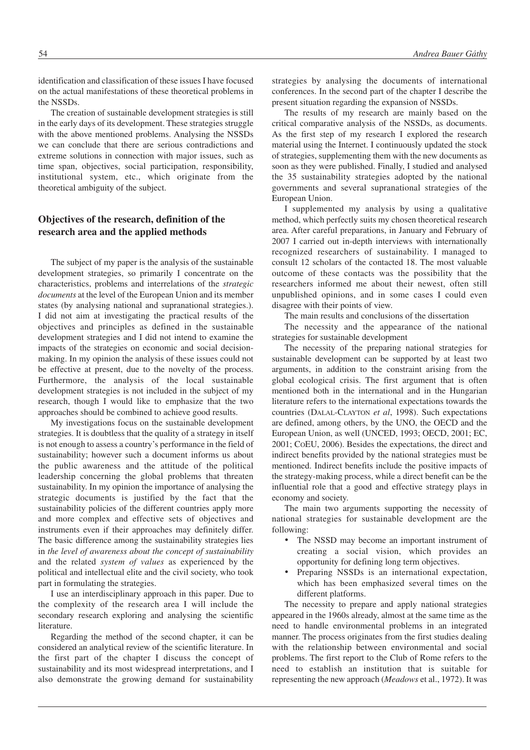identification and classification of these issues I have focused on the actual manifestations of these theoretical problems in the NSSDs.

The creation of sustainable development strategies is still in the early days of its development. These strategies struggle with the above mentioned problems. Analysing the NSSDs we can conclude that there are serious contradictions and extreme solutions in connection with major issues, such as time span, objectives, social participation, responsibility, institutional system, etc., which originate from the theoretical ambiguity of the subject.

## **Objectives of the research, definition of the research area and the applied methods**

The subject of my paper is the analysis of the sustainable development strategies, so primarily I concentrate on the characteristics, problems and interrelations of the *strategic documents* at the level of the European Union and its member states (by analysing national and supranational strategies.). I did not aim at investigating the practical results of the objectives and principles as defined in the sustainable development strategies and I did not intend to examine the impacts of the strategies on economic and social decisionmaking. In my opinion the analysis of these issues could not be effective at present, due to the novelty of the process. Furthermore, the analysis of the local sustainable development strategies is not included in the subject of my research, though I would like to emphasize that the two approaches should be combined to achieve good results.

My investigations focus on the sustainable development strategies. It is doubtless that the quality of a strategy in itself is not enough to assess a country's performance in the field of sustainability; however such a document informs us about the public awareness and the attitude of the political leadership concerning the global problems that threaten sustainability. In my opinion the importance of analysing the strategic documents is justified by the fact that the sustainability policies of the different countries apply more and more complex and effective sets of objectives and instruments even if their approaches may definitely differ. The basic difference among the sustainability strategies lies in *the level of awareness about the concept of sustainability* and the related *system of values* as experienced by the political and intellectual elite and the civil society, who took part in formulating the strategies.

I use an interdisciplinary approach in this paper. Due to the complexity of the research area I will include the secondary research exploring and analysing the scientific literature.

Regarding the method of the second chapter, it can be considered an analytical review of the scientific literature. In the first part of the chapter I discuss the concept of sustainability and its most widespread interpretations, and I also demonstrate the growing demand for sustainability strategies by analysing the documents of international conferences. In the second part of the chapter I describe the present situation regarding the expansion of NSSDs.

The results of my research are mainly based on the critical comparative analysis of the NSSDs, as documents. As the first step of my research I explored the research material using the Internet. I continuously updated the stock of strategies, supplementing them with the new documents as soon as they were published. Finally, I studied and analysed the 35 sustainability strategies adopted by the national governments and several supranational strategies of the European Union.

I supplemented my analysis by using a qualitative method, which perfectly suits my chosen theoretical research area. After careful preparations, in January and February of 2007 I carried out in-depth interviews with internationally recognized researchers of sustainability. I managed to consult 12 scholars of the contacted 18. The most valuable outcome of these contacts was the possibility that the researchers informed me about their newest, often still unpublished opinions, and in some cases I could even disagree with their points of view.

The main results and conclusions of the dissertation

The necessity and the appearance of the national strategies for sustainable development

The necessity of the preparing national strategies for sustainable development can be supported by at least two arguments, in addition to the constraint arising from the global ecological crisis. The first argument that is often mentioned both in the international and in the Hungarian literature refers to the international expectations towards the countries (DALAL-CLAYTON *et al*, 1998). Such expectations are defined, among others, by the UNO, the OECD and the European Union, as well (UNCED, 1993; OECD, 2001; EC, 2001; COEU, 2006). Besides the expectations, the direct and indirect benefits provided by the national strategies must be mentioned. Indirect benefits include the positive impacts of the strategy-making process, while a direct benefit can be the influential role that a good and effective strategy plays in economy and society.

The main two arguments supporting the necessity of national strategies for sustainable development are the following:

- The NSSD may become an important instrument of creating a social vision, which provides an opportunity for defining long term objectives.
- Preparing NSSDs is an international expectation, which has been emphasized several times on the different platforms.

The necessity to prepare and apply national strategies appeared in the 1960s already, almost at the same time as the need to handle environmental problems in an integrated manner. The process originates from the first studies dealing with the relationship between environmental and social problems. The first report to the Club of Rome refers to the need to establish an institution that is suitable for representing the new approach (*Meadows* et al., 1972). It was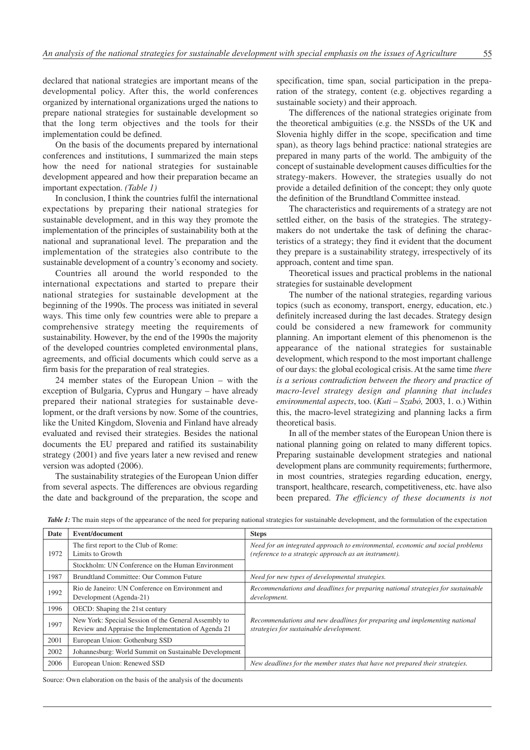declared that national strategies are important means of the developmental policy. After this, the world conferences organized by international organizations urged the nations to prepare national strategies for sustainable development so that the long term objectives and the tools for their implementation could be defined.

On the basis of the documents prepared by international conferences and institutions, I summarized the main steps how the need for national strategies for sustainable development appeared and how their preparation became an important expectation. *(Table 1)*

In conclusion, I think the countries fulfil the international expectations by preparing their national strategies for sustainable development, and in this way they promote the implementation of the principles of sustainability both at the national and supranational level. The preparation and the implementation of the strategies also contribute to the sustainable development of a country's economy and society.

Countries all around the world responded to the international expectations and started to prepare their national strategies for sustainable development at the beginning of the 1990s. The process was initiated in several ways. This time only few countries were able to prepare a comprehensive strategy meeting the requirements of sustainability. However, by the end of the 1990s the majority of the developed countries completed environmental plans, agreements, and official documents which could serve as a firm basis for the preparation of real strategies.

24 member states of the European Union – with the exception of Bulgaria, Cyprus and Hungary – have already prepared their national strategies for sustainable development, or the draft versions by now. Some of the countries, like the United Kingdom, Slovenia and Finland have already evaluated and revised their strategies. Besides the national documents the EU prepared and ratified its sustainability strategy (2001) and five years later a new revised and renew version was adopted (2006).

The sustainability strategies of the European Union differ from several aspects. The differences are obvious regarding the date and background of the preparation, the scope and specification, time span, social participation in the preparation of the strategy, content (e.g. objectives regarding a sustainable society) and their approach.

The differences of the national strategies originate from the theoretical ambiguities (e.g. the NSSDs of the UK and Slovenia highly differ in the scope, specification and time span), as theory lags behind practice: national strategies are prepared in many parts of the world. The ambiguity of the concept of sustainable development causes difficulties for the strategy-makers. However, the strategies usually do not provide a detailed definition of the concept; they only quote the definition of the Brundtland Committee instead.

The characteristics and requirements of a strategy are not settled either, on the basis of the strategies. The strategymakers do not undertake the task of defining the characteristics of a strategy; they find it evident that the document they prepare is a sustainability strategy, irrespectively of its approach, content and time span.

Theoretical issues and practical problems in the national strategies for sustainable development

The number of the national strategies, regarding various topics (such as economy, transport, energy, education, etc.) definitely increased during the last decades. Strategy design could be considered a new framework for community planning. An important element of this phenomenon is the appearance of the national strategies for sustainable development, which respond to the most important challenge of our days: the global ecological crisis. At the same time *there is a serious contradiction between the theory and practice of macro-level strategy design and planning that includes environmental aspects*, too. (*Kuti – Szabó,* 2003, 1. o.) Within this, the macro-level strategizing and planning lacks a firm theoretical basis.

In all of the member states of the European Union there is national planning going on related to many different topics. Preparing sustainable development strategies and national development plans are community requirements; furthermore, in most countries, strategies regarding education, energy, transport, healthcare, research, competitiveness, etc. have also been prepared. *The efficiency of these documents is not*

| Date | Event/document                                                                                              | <b>Steps</b>                                                                                                                            |  |  |
|------|-------------------------------------------------------------------------------------------------------------|-----------------------------------------------------------------------------------------------------------------------------------------|--|--|
| 1972 | The first report to the Club of Rome:<br>Limits to Growth                                                   | Need for an integrated approach to environmental, economic and social problems<br>(reference to a strategic approach as an instrument). |  |  |
|      | Stockholm: UN Conference on the Human Environment                                                           |                                                                                                                                         |  |  |
| 1987 | Brundtland Committee: Our Common Future                                                                     | Need for new types of developmental strategies.                                                                                         |  |  |
| 1992 | Rio de Janeiro: UN Conference on Environment and<br>Development (Agenda-21)                                 | Recommendations and deadlines for preparing national strategies for sustainable<br>development.                                         |  |  |
| 1996 | OECD: Shaping the 21st century                                                                              |                                                                                                                                         |  |  |
| 1997 | New York: Special Session of the General Assembly to<br>Review and Appraise the Implementation of Agenda 21 | Recommendations and new deadlines for preparing and implementing national<br>strategies for sustainable development.                    |  |  |
| 2001 | European Union: Gothenburg SSD                                                                              |                                                                                                                                         |  |  |
| 2002 | Johannesburg: World Summit on Sustainable Development                                                       |                                                                                                                                         |  |  |
| 2006 | European Union: Renewed SSD                                                                                 | New deadlines for the member states that have not prepared their strategies.                                                            |  |  |

**Table 1:** The main steps of the appearance of the need for preparing national strategies for sustainable development, and the formulation of the expectation

Source: Own elaboration on the basis of the analysis of the documents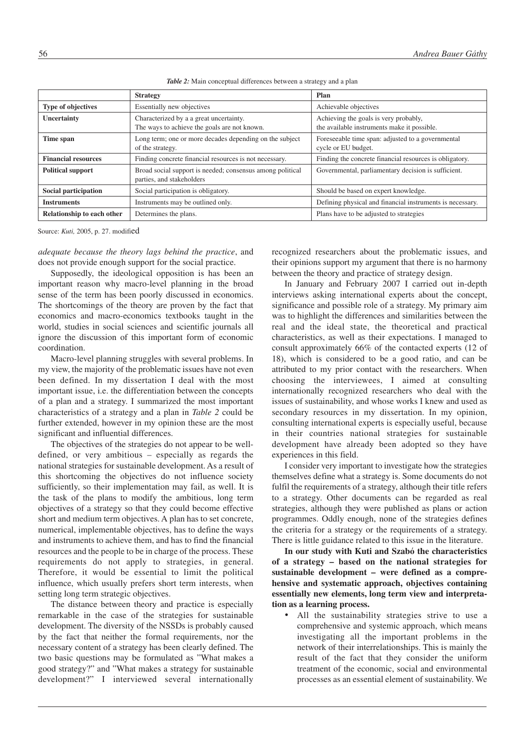|                            | <b>Strategy</b>                                                                         | Plan                                                                                 |  |  |
|----------------------------|-----------------------------------------------------------------------------------------|--------------------------------------------------------------------------------------|--|--|
| <b>Type of objectives</b>  | Essentially new objectives                                                              | Achievable objectives                                                                |  |  |
| Uncertainty                | Characterized by a a great uncertainty.<br>The ways to achieve the goals are not known. | Achieving the goals is very probably,<br>the available instruments make it possible. |  |  |
| Time span                  | Long term; one or more decades depending on the subject<br>of the strategy.             | Foreseeable time span: adjusted to a governmental<br>cycle or EU budget.             |  |  |
| <b>Financial resources</b> | Finding concrete financial resources is not necessary.                                  | Finding the concrete financial resources is obligatory.                              |  |  |
| <b>Political support</b>   | Broad social support is needed; consensus among political<br>parties, and stakeholders  | Governmental, parliamentary decision is sufficient.                                  |  |  |
| Social participation       | Social participation is obligatory.                                                     | Should be based on expert knowledge.                                                 |  |  |
| <b>Instruments</b>         | Instruments may be outlined only.                                                       | Defining physical and financial instruments is necessary.                            |  |  |
| Relationship to each other | Determines the plans.                                                                   | Plans have to be adjusted to strategies                                              |  |  |

*Table 2:* Main conceptual differences between a strategy and a plan

Source: *Kuti,* 2005, p. 27. modified

*adequate because the theory lags behind the practice*, and does not provide enough support for the social practice.

Supposedly, the ideological opposition is has been an important reason why macro-level planning in the broad sense of the term has been poorly discussed in economics. The shortcomings of the theory are proven by the fact that economics and macro-economics textbooks taught in the world, studies in social sciences and scientific journals all ignore the discussion of this important form of economic coordination.

Macro-level planning struggles with several problems. In my view, the majority of the problematic issues have not even been defined. In my dissertation I deal with the most important issue, i.e. the differentiation between the concepts of a plan and a strategy. I summarized the most important characteristics of a strategy and a plan in *Table 2* could be further extended, however in my opinion these are the most significant and influential differences.

The objectives of the strategies do not appear to be welldefined, or very ambitious – especially as regards the national strategies for sustainable development. As a result of this shortcoming the objectives do not influence society sufficiently, so their implementation may fail, as well. It is the task of the plans to modify the ambitious, long term objectives of a strategy so that they could become effective short and medium term objectives. A plan has to set concrete, numerical, implementable objectives, has to define the ways and instruments to achieve them, and has to find the financial resources and the people to be in charge of the process. These requirements do not apply to strategies, in general. Therefore, it would be essential to limit the political influence, which usually prefers short term interests, when setting long term strategic objectives.

The distance between theory and practice is especially remarkable in the case of the strategies for sustainable development. The diversity of the NSSDs is probably caused by the fact that neither the formal requirements, nor the necessary content of a strategy has been clearly defined. The two basic questions may be formulated as "What makes a good strategy?" and "What makes a strategy for sustainable development?" I interviewed several internationally

recognized researchers about the problematic issues, and their opinions support my argument that there is no harmony between the theory and practice of strategy design.

In January and February 2007 I carried out in-depth interviews asking international experts about the concept, significance and possible role of a strategy. My primary aim was to highlight the differences and similarities between the real and the ideal state, the theoretical and practical characteristics, as well as their expectations. I managed to consult approximately 66% of the contacted experts (12 of 18), which is considered to be a good ratio, and can be attributed to my prior contact with the researchers. When choosing the interviewees, I aimed at consulting internationally recognized researchers who deal with the issues of sustainability, and whose works I knew and used as secondary resources in my dissertation. In my opinion, consulting international experts is especially useful, because in their countries national strategies for sustainable development have already been adopted so they have experiences in this field.

I consider very important to investigate how the strategies themselves define what a strategy is. Some documents do not fulfil the requirements of a strategy, although their title refers to a strategy. Other documents can be regarded as real strategies, although they were published as plans or action programmes. Oddly enough, none of the strategies defines the criteria for a strategy or the requirements of a strategy. There is little guidance related to this issue in the literature.

**In our study with Kuti and Szabó the characteristics of a strategy – based on the national strategies for sustainable development – were defined as a comprehensive and systematic approach, objectives containing essentially new elements, long term view and interpretation as a learning process.**

• All the sustainability strategies strive to use a comprehensive and systemic approach, which means investigating all the important problems in the network of their interrelationships. This is mainly the result of the fact that they consider the uniform treatment of the economic, social and environmental processes as an essential element of sustainability. We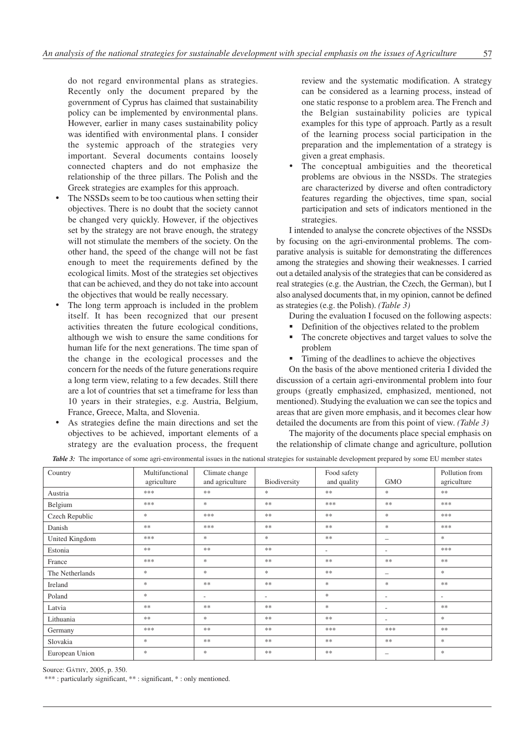do not regard environmental plans as strategies. Recently only the document prepared by the government of Cyprus has claimed that sustainability policy can be implemented by environmental plans. However, earlier in many cases sustainability policy was identified with environmental plans. I consider the systemic approach of the strategies very important. Several documents contains loosely connected chapters and do not emphasize the relationship of the three pillars. The Polish and the Greek strategies are examples for this approach.

- The NSSDs seem to be too cautious when setting their objectives. There is no doubt that the society cannot be changed very quickly. However, if the objectives set by the strategy are not brave enough, the strategy will not stimulate the members of the society. On the other hand, the speed of the change will not be fast enough to meet the requirements defined by the ecological limits. Most of the strategies set objectives that can be achieved, and they do not take into account the objectives that would be really necessary.
- The long term approach is included in the problem itself. It has been recognized that our present activities threaten the future ecological conditions, although we wish to ensure the same conditions for human life for the next generations. The time span of the change in the ecological processes and the concern for the needs of the future generations require a long term view, relating to a few decades. Still there are a lot of countries that set a timeframe for less than 10 years in their strategies, e.g. Austria, Belgium, France, Greece, Malta, and Slovenia.
- As strategies define the main directions and set the objectives to be achieved, important elements of a strategy are the evaluation process, the frequent

review and the systematic modification. A strategy can be considered as a learning process, instead of one static response to a problem area. The French and the Belgian sustainability policies are typical examples for this type of approach. Partly as a result of the learning process social participation in the preparation and the implementation of a strategy is given a great emphasis.

The conceptual ambiguities and the theoretical problems are obvious in the NSSDs. The strategies are characterized by diverse and often contradictory features regarding the objectives, time span, social participation and sets of indicators mentioned in the strategies.

I intended to analyse the concrete objectives of the NSSDs by focusing on the agri-environmental problems. The comparative analysis is suitable for demonstrating the differences among the strategies and showing their weaknesses. I carried out a detailed analysis of the strategies that can be considered as real strategies (e.g. the Austrian, the Czech, the German), but I also analysed documents that, in my opinion, cannot be defined as strategies (e.g. the Polish). *(Table 3)*

During the evaluation I focused on the following aspects:

- -Definition of the objectives related to the problem
- - The concrete objectives and target values to solve the problem
- -Timing of the deadlines to achieve the objectives

On the basis of the above mentioned criteria I divided the discussion of a certain agri-environmental problem into four groups (greatly emphasized, emphasized, mentioned, not mentioned). Studying the evaluation we can see the topics and areas that are given more emphasis, and it becomes clear how detailed the documents are from this point of view. *(Table 3)*

The majority of the documents place special emphasis on the relationship of climate change and agriculture, pollution

| <b>Table 3:</b> The importance of some agri-environmental issues in the national strategies for sustainable development prepared by some EU member states |  |
|-----------------------------------------------------------------------------------------------------------------------------------------------------------|--|
|                                                                                                                                                           |  |

| Country         | Multifunctional<br>agriculture | Climate change<br>and agriculture | Biodiversity                      | Food safety<br>and quality | <b>GMO</b>               | Pollution from<br>agriculture |
|-----------------|--------------------------------|-----------------------------------|-----------------------------------|----------------------------|--------------------------|-------------------------------|
| Austria         | $\ast\ast\ast$                 | $\gg \gg$                         | $\frac{d\mathbf{x}}{d\mathbf{x}}$ | **                         | $\ast$                   | $\pm\pm$                      |
| Belgium         | ***                            | $\ast$                            | **                                | ***                        | 米米                       | ***                           |
| Czech Republic  | $\frac{1}{25}$                 | ***                               | **                                | **                         | $*$                      | ***                           |
| Danish          | **                             | ***                               | **                                | **                         | $*$                      | ***                           |
| United Kingdom  | ***                            | $\frac{1}{2}$                     | $\frac{1}{25}$                    | **                         | $\overline{\phantom{a}}$ | $\frac{1}{25}$                |
| Estonia         | **                             | **                                | **                                | $\overline{\phantom{a}}$   | $\overline{\phantom{a}}$ | ***                           |
| France          | ***                            | $\frac{1}{2}$                     | **                                | 米米                         | 米米                       | **                            |
| The Netherlands | $\frac{1}{25}$                 | 冰                                 | $\frac{1}{2}$                     | **                         | $\overline{\phantom{a}}$ | $\frac{1}{2}$                 |
| Ireland         | $\frac{1}{2}$                  | $\gg \gg$                         | $\pm\pm$                          | $\ast$                     | $*$                      | $\ast\ast$                    |
| Poland          | $\frac{1}{2}$                  | $\overline{\phantom{a}}$          | ٠                                 | $*$                        | $\overline{\phantom{a}}$ | $\overline{\phantom{a}}$      |
| Latvia          | **                             | **                                | **                                | $\ast$                     | $\overline{\phantom{a}}$ | **                            |
| Lithuania       | **                             | *                                 | **                                | **                         | $\overline{\phantom{a}}$ | $\frac{1}{2}$                 |
| Germany         | ***                            | **                                | **                                | ***                        | ***                      | $\ast\ast$                    |
| Slovakia        | $\frac{1}{2}$                  | **                                | **                                | **                         | **                       | $\frac{1}{2}$                 |
| European Union  | *                              | $\frac{1}{2}$                     | **                                | **                         | $\overline{\phantom{a}}$ | $\frac{1}{2}$                 |

Source: GÁTHY, 2005, p. 350.

\*\*\* : particularly significant, \*\* : significant, \* : only mentioned.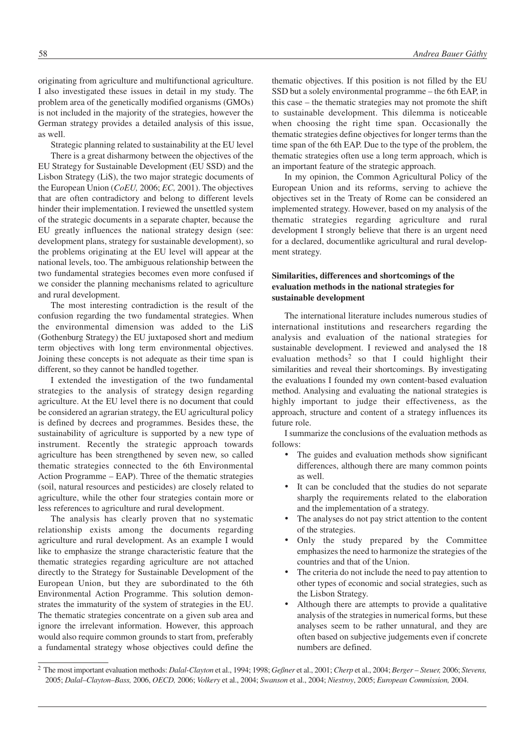originating from agriculture and multifunctional agriculture. I also investigated these issues in detail in my study. The problem area of the genetically modified organisms (GMOs) is not included in the majority of the strategies, however the German strategy provides a detailed analysis of this issue, as well.

Strategic planning related to sustainability at the EU level There is a great disharmony between the objectives of the EU Strategy for Sustainable Development (EU SSD) and the Lisbon Strategy (LiS), the two major strategic documents of the European Union (*CoEU,* 2006; *EC,* 2001). The objectives that are often contradictory and belong to different levels hinder their implementation. I reviewed the unsettled system of the strategic documents in a separate chapter, because the EU greatly influences the national strategy design (see: development plans, strategy for sustainable development), so the problems originating at the EU level will appear at the national levels, too. The ambiguous relationship between the two fundamental strategies becomes even more confused if we consider the planning mechanisms related to agriculture and rural development.

The most interesting contradiction is the result of the confusion regarding the two fundamental strategies. When the environmental dimension was added to the LiS (Gothenburg Strategy) the EU juxtaposed short and medium term objectives with long term environmental objectives. Joining these concepts is not adequate as their time span is different, so they cannot be handled together.

I extended the investigation of the two fundamental strategies to the analysis of strategy design regarding agriculture. At the EU level there is no document that could be considered an agrarian strategy, the EU agricultural policy is defined by decrees and programmes. Besides these, the sustainability of agriculture is supported by a new type of instrument. Recently the strategic approach towards agriculture has been strengthened by seven new, so called thematic strategies connected to the 6th Environmental Action Programme – EAP). Three of the thematic strategies (soil, natural resources and pesticides) are closely related to agriculture, while the other four strategies contain more or less references to agriculture and rural development.

The analysis has clearly proven that no systematic relationship exists among the documents regarding agriculture and rural development. As an example I would like to emphasize the strange characteristic feature that the thematic strategies regarding agriculture are not attached directly to the Strategy for Sustainable Development of the European Union, but they are subordinated to the 6th Environmental Action Programme. This solution demonstrates the immaturity of the system of strategies in the EU. The thematic strategies concentrate on a given sub area and ignore the irrelevant information. However, this approach would also require common grounds to start from, preferably a fundamental strategy whose objectives could define the thematic objectives. If this position is not filled by the EU SSD but a solely environmental programme – the 6th EAP, in this case – the thematic strategies may not promote the shift to sustainable development. This dilemma is noticeable when choosing the right time span. Occasionally the thematic strategies define objectives for longer terms than the time span of the 6th EAP. Due to the type of the problem, the thematic strategies often use a long term approach, which is an important feature of the strategic approach.

In my opinion, the Common Agricultural Policy of the European Union and its reforms, serving to achieve the objectives set in the Treaty of Rome can be considered an implemented strategy. However, based on my analysis of the thematic strategies regarding agriculture and rural development I strongly believe that there is an urgent need for a declared, documentlike agricultural and rural development strategy.

## **Similarities, differences and shortcomings of the evaluation methods in the national strategies for sustainable development**

The international literature includes numerous studies of international institutions and researchers regarding the analysis and evaluation of the national strategies for sustainable development. I reviewed and analysed the 18 evaluation methods<sup>2</sup> so that I could highlight their similarities and reveal their shortcomings. By investigating the evaluations I founded my own content-based evaluation method. Analysing and evaluating the national strategies is highly important to judge their effectiveness, as the approach, structure and content of a strategy influences its future role.

I summarize the conclusions of the evaluation methods as follows:

- The guides and evaluation methods show significant differences, although there are many common points as well.
- It can be concluded that the studies do not separate sharply the requirements related to the elaboration and the implementation of a strategy.
- The analyses do not pay strict attention to the content of the strategies.
- Only the study prepared by the Committee emphasizes the need to harmonize the strategies of the countries and that of the Union.
- The criteria do not include the need to pay attention to other types of economic and social strategies, such as the Lisbon Strategy.
- Although there are attempts to provide a qualitative analysis of the strategies in numerical forms, but these analyses seem to be rather unnatural, and they are often based on subjective judgements even if concrete numbers are defined.

<sup>2</sup> The most important evaluation methods: *Dalal-Clayton* et al., 1994; 1998; *Geßner* et al., 2001; *Cherp* et al., 2004; *Berger – Steuer,* 2006; *Stevens,* 2005; *Dalal–Clayton–Bass,* 2006, *OECD,* 2006; *Volkery* et al., 2004; *Swanson* et al., 2004; *Niestroy*, 2005; *European Commission,* 2004.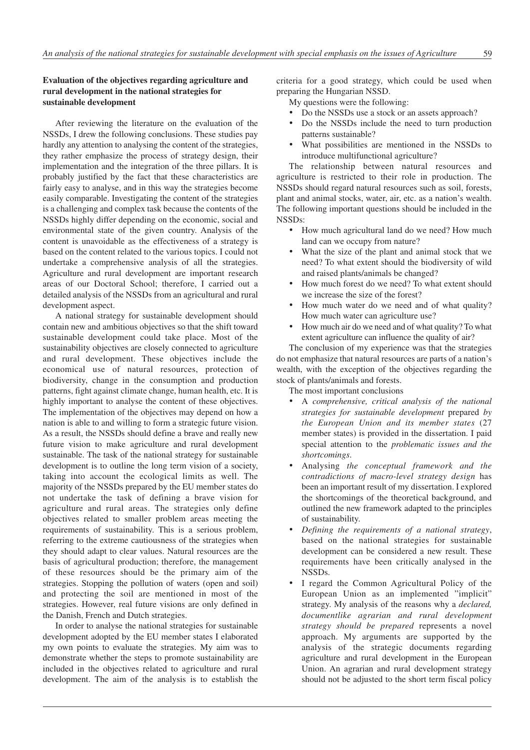## **Evaluation of the objectives regarding agriculture and rural development in the national strategies for sustainable development**

After reviewing the literature on the evaluation of the NSSDs, I drew the following conclusions. These studies pay hardly any attention to analysing the content of the strategies, they rather emphasize the process of strategy design, their implementation and the integration of the three pillars. It is probably justified by the fact that these characteristics are fairly easy to analyse, and in this way the strategies become easily comparable. Investigating the content of the strategies is a challenging and complex task because the contents of the NSSDs highly differ depending on the economic, social and environmental state of the given country. Analysis of the content is unavoidable as the effectiveness of a strategy is based on the content related to the various topics. I could not undertake a comprehensive analysis of all the strategies. Agriculture and rural development are important research areas of our Doctoral School; therefore, I carried out a detailed analysis of the NSSDs from an agricultural and rural development aspect.

A national strategy for sustainable development should contain new and ambitious objectives so that the shift toward sustainable development could take place. Most of the sustainability objectives are closely connected to agriculture and rural development. These objectives include the economical use of natural resources, protection of biodiversity, change in the consumption and production patterns, fight against climate change, human health, etc. It is highly important to analyse the content of these objectives. The implementation of the objectives may depend on how a nation is able to and willing to form a strategic future vision. As a result, the NSSDs should define a brave and really new future vision to make agriculture and rural development sustainable. The task of the national strategy for sustainable development is to outline the long term vision of a society, taking into account the ecological limits as well. The majority of the NSSDs prepared by the EU member states do not undertake the task of defining a brave vision for agriculture and rural areas. The strategies only define objectives related to smaller problem areas meeting the requirements of sustainability. This is a serious problem, referring to the extreme cautiousness of the strategies when they should adapt to clear values. Natural resources are the basis of agricultural production; therefore, the management of these resources should be the primary aim of the strategies. Stopping the pollution of waters (open and soil) and protecting the soil are mentioned in most of the strategies. However, real future visions are only defined in the Danish, French and Dutch strategies.

In order to analyse the national strategies for sustainable development adopted by the EU member states I elaborated my own points to evaluate the strategies. My aim was to demonstrate whether the steps to promote sustainability are included in the objectives related to agriculture and rural development. The aim of the analysis is to establish the criteria for a good strategy, which could be used when preparing the Hungarian NSSD.

- My questions were the following:
- Do the NSSDs use a stock or an assets approach?
- Do the NSSDs include the need to turn production patterns sustainable?
- What possibilities are mentioned in the NSSDs to introduce multifunctional agriculture?

The relationship between natural resources and agriculture is restricted to their role in production. The NSSDs should regard natural resources such as soil, forests, plant and animal stocks, water, air, etc. as a nation's wealth. The following important questions should be included in the NSSDs:

- How much agricultural land do we need? How much land can we occupy from nature?
- What the size of the plant and animal stock that we need? To what extent should the biodiversity of wild and raised plants/animals be changed?
- How much forest do we need? To what extent should we increase the size of the forest?
- How much water do we need and of what quality? How much water can agriculture use?
- How much air do we need and of what quality? To what extent agriculture can influence the quality of air?

The conclusion of my experience was that the strategies do not emphasize that natural resources are parts of a nation's wealth, with the exception of the objectives regarding the stock of plants/animals and forests.

The most important conclusions

- A *comprehensive, critical analysis of the national strategies for sustainable development* prepared *by the European Union and its member states* (27 member states) is provided in the dissertation. I paid special attention to the *problematic issues and the shortcomings*.
- Analysing *the conceptual framework and the contradictions of macro-level strategy design* has been an important result of my dissertation. I explored the shortcomings of the theoretical background, and outlined the new framework adapted to the principles of sustainability.
- *Defining the requirements of a national strategy*, based on the national strategies for sustainable development can be considered a new result. These requirements have been critically analysed in the NSSDs.
- I regard the Common Agricultural Policy of the European Union as an implemented "implicit" strategy. My analysis of the reasons why a *declared, documentlike agrarian and rural development strategy should be prepared* represents a novel approach. My arguments are supported by the analysis of the strategic documents regarding agriculture and rural development in the European Union. An agrarian and rural development strategy should not be adjusted to the short term fiscal policy